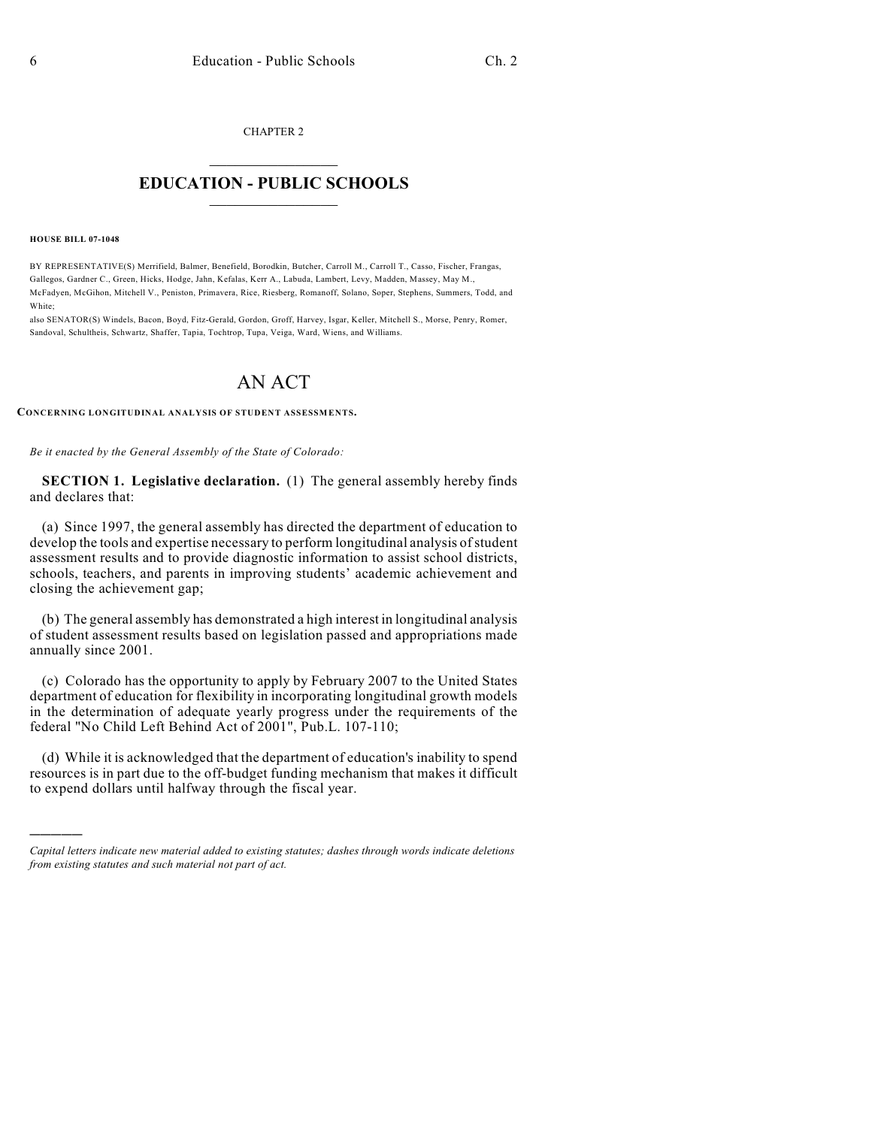CHAPTER 2

## $\overline{\phantom{a}}$  . The set of the set of the set of the set of the set of the set of the set of the set of the set of the set of the set of the set of the set of the set of the set of the set of the set of the set of the set o **EDUCATION - PUBLIC SCHOOLS**  $\_$   $\_$   $\_$   $\_$   $\_$   $\_$   $\_$   $\_$   $\_$

**HOUSE BILL 07-1048**

)))))

BY REPRESENTATIVE(S) Merrifield, Balmer, Benefield, Borodkin, Butcher, Carroll M., Carroll T., Casso, Fischer, Frangas, Gallegos, Gardner C., Green, Hicks, Hodge, Jahn, Kefalas, Kerr A., Labuda, Lambert, Levy, Madden, Massey, May M., McFadyen, McGihon, Mitchell V., Peniston, Primavera, Rice, Riesberg, Romanoff, Solano, Soper, Stephens, Summers, Todd, and White;

also SENATOR(S) Windels, Bacon, Boyd, Fitz-Gerald, Gordon, Groff, Harvey, Isgar, Keller, Mitchell S., Morse, Penry, Romer, Sandoval, Schultheis, Schwartz, Shaffer, Tapia, Tochtrop, Tupa, Veiga, Ward, Wiens, and Williams.

## AN ACT

**CONCERNING LONGITUDINAL ANALYSIS OF STUDENT ASSESSMENTS.**

*Be it enacted by the General Assembly of the State of Colorado:*

**SECTION 1. Legislative declaration.** (1) The general assembly hereby finds and declares that:

(a) Since 1997, the general assembly has directed the department of education to develop the tools and expertise necessary to perform longitudinal analysis of student assessment results and to provide diagnostic information to assist school districts, schools, teachers, and parents in improving students' academic achievement and closing the achievement gap;

(b) The general assembly has demonstrated a high interest in longitudinal analysis of student assessment results based on legislation passed and appropriations made annually since 2001.

(c) Colorado has the opportunity to apply by February 2007 to the United States department of education for flexibility in incorporating longitudinal growth models in the determination of adequate yearly progress under the requirements of the federal "No Child Left Behind Act of 2001", Pub.L. 107-110;

(d) While it is acknowledged that the department of education's inability to spend resources is in part due to the off-budget funding mechanism that makes it difficult to expend dollars until halfway through the fiscal year.

*Capital letters indicate new material added to existing statutes; dashes through words indicate deletions from existing statutes and such material not part of act.*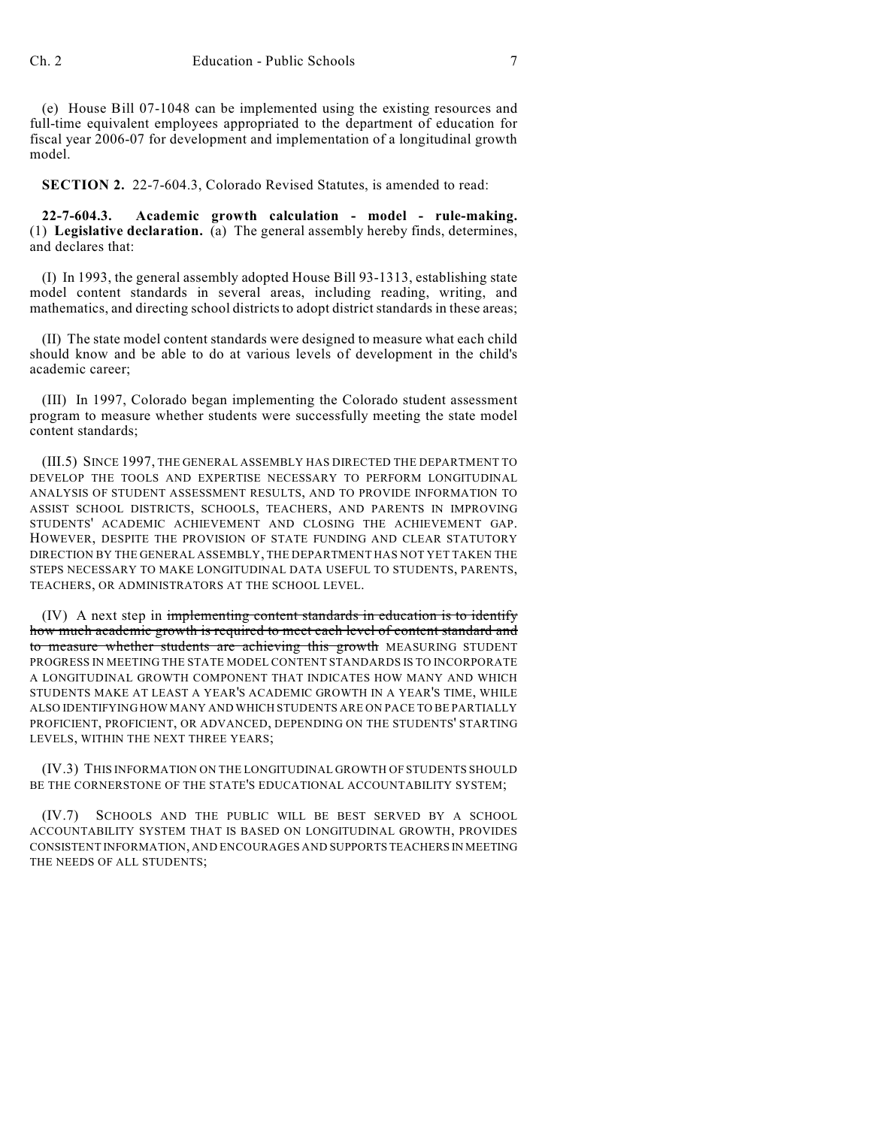(e) House Bill 07-1048 can be implemented using the existing resources and full-time equivalent employees appropriated to the department of education for fiscal year 2006-07 for development and implementation of a longitudinal growth model.

**SECTION 2.** 22-7-604.3, Colorado Revised Statutes, is amended to read:

**22-7-604.3. Academic growth calculation - model - rule-making.** (1) **Legislative declaration.** (a) The general assembly hereby finds, determines, and declares that:

(I) In 1993, the general assembly adopted House Bill 93-1313, establishing state model content standards in several areas, including reading, writing, and mathematics, and directing school districts to adopt district standards in these areas;

(II) The state model content standards were designed to measure what each child should know and be able to do at various levels of development in the child's academic career;

(III) In 1997, Colorado began implementing the Colorado student assessment program to measure whether students were successfully meeting the state model content standards;

(III.5) SINCE 1997, THE GENERAL ASSEMBLY HAS DIRECTED THE DEPARTMENT TO DEVELOP THE TOOLS AND EXPERTISE NECESSARY TO PERFORM LONGITUDINAL ANALYSIS OF STUDENT ASSESSMENT RESULTS, AND TO PROVIDE INFORMATION TO ASSIST SCHOOL DISTRICTS, SCHOOLS, TEACHERS, AND PARENTS IN IMPROVING STUDENTS' ACADEMIC ACHIEVEMENT AND CLOSING THE ACHIEVEMENT GAP. HOWEVER, DESPITE THE PROVISION OF STATE FUNDING AND CLEAR STATUTORY DIRECTION BY THE GENERAL ASSEMBLY, THE DEPARTMENT HAS NOT YET TAKEN THE STEPS NECESSARY TO MAKE LONGITUDINAL DATA USEFUL TO STUDENTS, PARENTS, TEACHERS, OR ADMINISTRATORS AT THE SCHOOL LEVEL.

(IV) A next step in implementing content standards in education is to identify how much academic growth is required to meet each level of content standard and to measure whether students are achieving this growth MEASURING STUDENT PROGRESS IN MEETING THE STATE MODEL CONTENT STANDARDS IS TO INCORPORATE A LONGITUDINAL GROWTH COMPONENT THAT INDICATES HOW MANY AND WHICH STUDENTS MAKE AT LEAST A YEAR'S ACADEMIC GROWTH IN A YEAR'S TIME, WHILE ALSO IDENTIFYING HOW MANY AND WHICH STUDENTS ARE ON PACE TO BE PARTIALLY PROFICIENT, PROFICIENT, OR ADVANCED, DEPENDING ON THE STUDENTS' STARTING LEVELS, WITHIN THE NEXT THREE YEARS;

(IV.3) THIS INFORMATION ON THE LONGITUDINAL GROWTH OF STUDENTS SHOULD BE THE CORNERSTONE OF THE STATE'S EDUCATIONAL ACCOUNTABILITY SYSTEM;

(IV.7) SCHOOLS AND THE PUBLIC WILL BE BEST SERVED BY A SCHOOL ACCOUNTABILITY SYSTEM THAT IS BASED ON LONGITUDINAL GROWTH, PROVIDES CONSISTENT INFORMATION, AND ENCOURAGES AND SUPPORTS TEACHERS IN MEETING THE NEEDS OF ALL STUDENTS;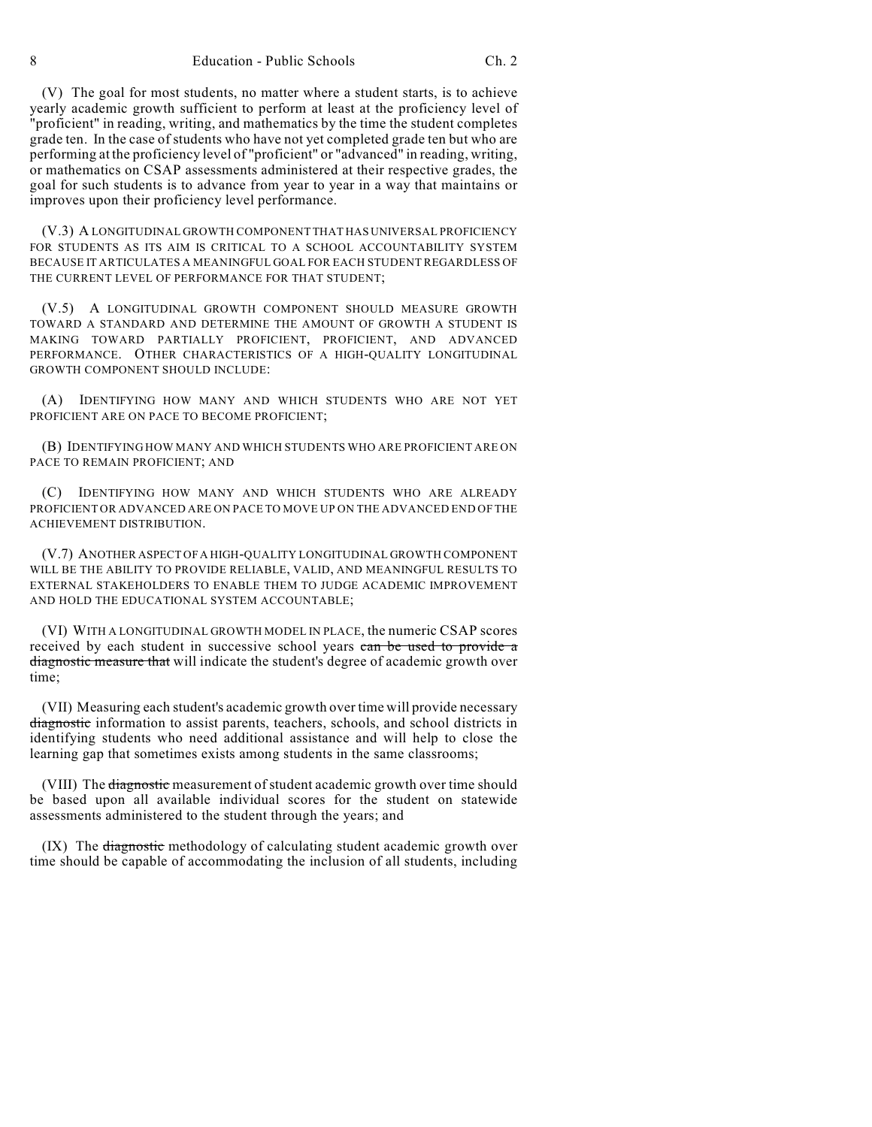(V) The goal for most students, no matter where a student starts, is to achieve yearly academic growth sufficient to perform at least at the proficiency level of "proficient" in reading, writing, and mathematics by the time the student completes grade ten. In the case of students who have not yet completed grade ten but who are performing at the proficiency level of "proficient" or "advanced" in reading, writing, or mathematics on CSAP assessments administered at their respective grades, the goal for such students is to advance from year to year in a way that maintains or improves upon their proficiency level performance.

(V.3) A LONGITUDINAL GROWTH COMPONENT THAT HAS UNIVERSAL PROFICIENCY FOR STUDENTS AS ITS AIM IS CRITICAL TO A SCHOOL ACCOUNTABILITY SYSTEM BECAUSE IT ARTICULATES A MEANINGFUL GOAL FOR EACH STUDENT REGARDLESS OF THE CURRENT LEVEL OF PERFORMANCE FOR THAT STUDENT;

(V.5) A LONGITUDINAL GROWTH COMPONENT SHOULD MEASURE GROWTH TOWARD A STANDARD AND DETERMINE THE AMOUNT OF GROWTH A STUDENT IS MAKING TOWARD PARTIALLY PROFICIENT, PROFICIENT, AND ADVANCED PERFORMANCE. OTHER CHARACTERISTICS OF A HIGH-QUALITY LONGITUDINAL GROWTH COMPONENT SHOULD INCLUDE:

(A) IDENTIFYING HOW MANY AND WHICH STUDENTS WHO ARE NOT YET PROFICIENT ARE ON PACE TO BECOME PROFICIENT;

(B) IDENTIFYING HOW MANY AND WHICH STUDENTS WHO ARE PROFICIENT ARE ON PACE TO REMAIN PROFICIENT; AND

(C) IDENTIFYING HOW MANY AND WHICH STUDENTS WHO ARE ALREADY PROFICIENT OR ADVANCED ARE ON PACE TO MOVE UP ON THE ADVANCED END OF THE ACHIEVEMENT DISTRIBUTION.

(V.7) ANOTHER ASPECT OF A HIGH-QUALITY LONGITUDINAL GROWTH COMPONENT WILL BE THE ABILITY TO PROVIDE RELIABLE, VALID, AND MEANINGFUL RESULTS TO EXTERNAL STAKEHOLDERS TO ENABLE THEM TO JUDGE ACADEMIC IMPROVEMENT AND HOLD THE EDUCATIONAL SYSTEM ACCOUNTABLE;

(VI) WITH A LONGITUDINAL GROWTH MODEL IN PLACE, the numeric CSAP scores received by each student in successive school years can be used to provide a diagnostic measure that will indicate the student's degree of academic growth over time;

(VII) Measuring each student's academic growth over time will provide necessary diagnostic information to assist parents, teachers, schools, and school districts in identifying students who need additional assistance and will help to close the learning gap that sometimes exists among students in the same classrooms;

(VIII) The diagnostic measurement of student academic growth over time should be based upon all available individual scores for the student on statewide assessments administered to the student through the years; and

(IX) The diagnostic methodology of calculating student academic growth over time should be capable of accommodating the inclusion of all students, including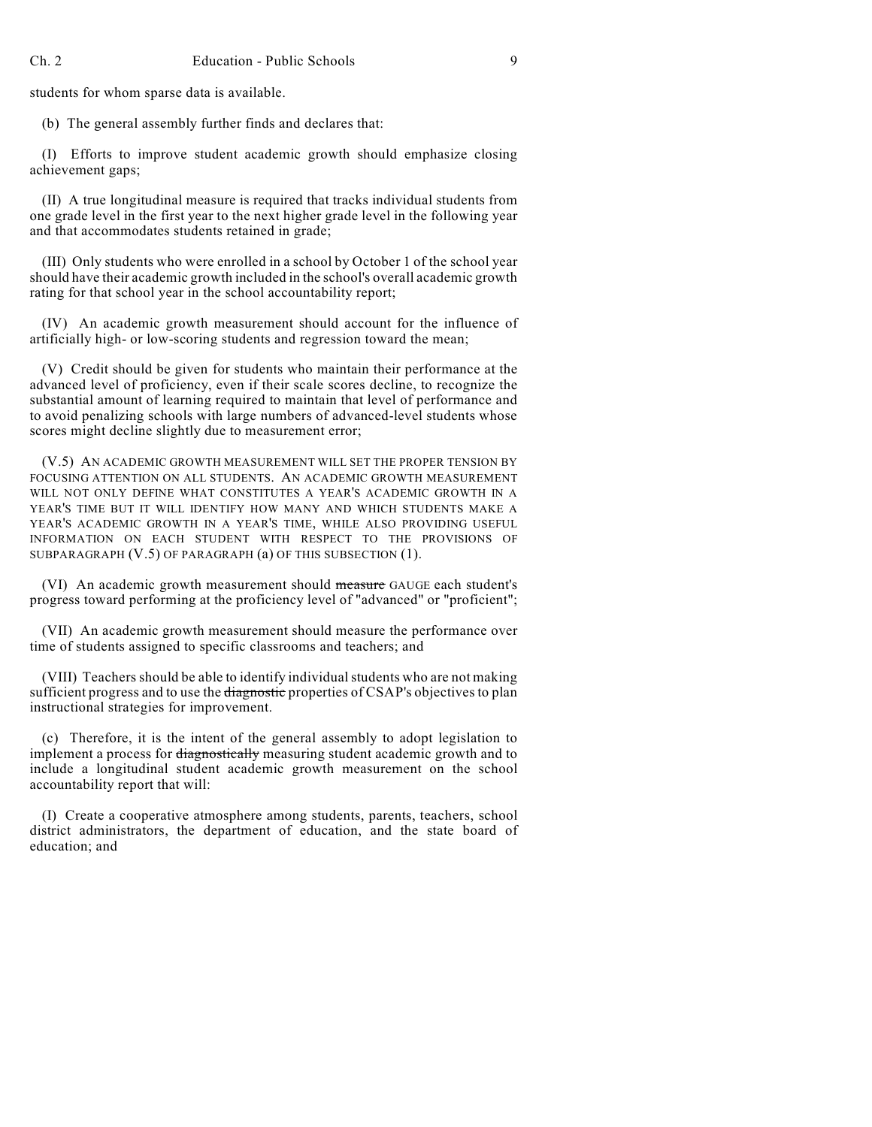students for whom sparse data is available.

(b) The general assembly further finds and declares that:

(I) Efforts to improve student academic growth should emphasize closing achievement gaps;

(II) A true longitudinal measure is required that tracks individual students from one grade level in the first year to the next higher grade level in the following year and that accommodates students retained in grade;

(III) Only students who were enrolled in a school by October 1 of the school year should have their academic growth included in the school's overall academic growth rating for that school year in the school accountability report;

(IV) An academic growth measurement should account for the influence of artificially high- or low-scoring students and regression toward the mean;

(V) Credit should be given for students who maintain their performance at the advanced level of proficiency, even if their scale scores decline, to recognize the substantial amount of learning required to maintain that level of performance and to avoid penalizing schools with large numbers of advanced-level students whose scores might decline slightly due to measurement error;

(V.5) AN ACADEMIC GROWTH MEASUREMENT WILL SET THE PROPER TENSION BY FOCUSING ATTENTION ON ALL STUDENTS. AN ACADEMIC GROWTH MEASUREMENT WILL NOT ONLY DEFINE WHAT CONSTITUTES A YEAR'S ACADEMIC GROWTH IN A YEAR'S TIME BUT IT WILL IDENTIFY HOW MANY AND WHICH STUDENTS MAKE A YEAR'S ACADEMIC GROWTH IN A YEAR'S TIME, WHILE ALSO PROVIDING USEFUL INFORMATION ON EACH STUDENT WITH RESPECT TO THE PROVISIONS OF SUBPARAGRAPH (V.5) OF PARAGRAPH (a) OF THIS SUBSECTION (1).

(VI) An academic growth measurement should measure GAUGE each student's progress toward performing at the proficiency level of "advanced" or "proficient";

(VII) An academic growth measurement should measure the performance over time of students assigned to specific classrooms and teachers; and

(VIII) Teachers should be able to identify individual students who are not making sufficient progress and to use the diagnostic properties of CSAP's objectives to plan instructional strategies for improvement.

(c) Therefore, it is the intent of the general assembly to adopt legislation to implement a process for diagnostically measuring student academic growth and to include a longitudinal student academic growth measurement on the school accountability report that will:

(I) Create a cooperative atmosphere among students, parents, teachers, school district administrators, the department of education, and the state board of education; and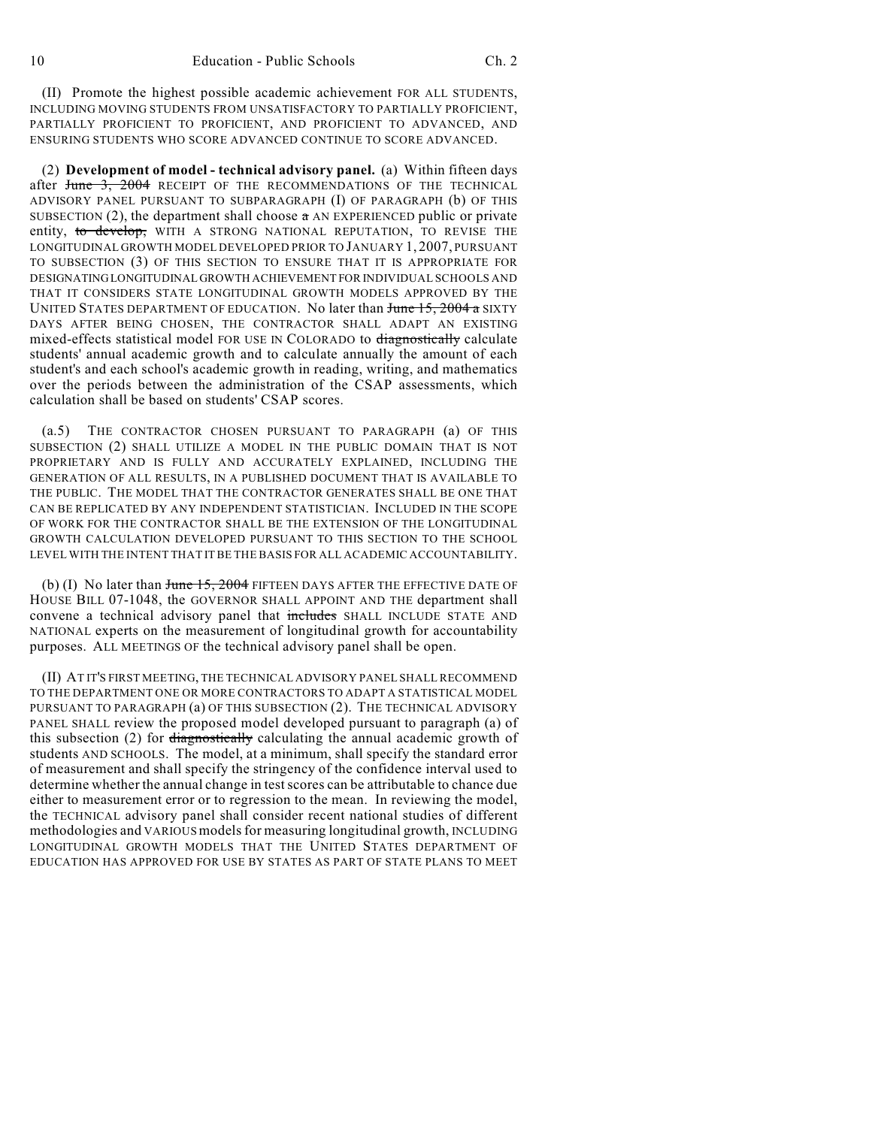(II) Promote the highest possible academic achievement FOR ALL STUDENTS, INCLUDING MOVING STUDENTS FROM UNSATISFACTORY TO PARTIALLY PROFICIENT, PARTIALLY PROFICIENT TO PROFICIENT, AND PROFICIENT TO ADVANCED, AND ENSURING STUDENTS WHO SCORE ADVANCED CONTINUE TO SCORE ADVANCED.

(2) **Development of model - technical advisory panel.** (a) Within fifteen days after June 3, 2004 RECEIPT OF THE RECOMMENDATIONS OF THE TECHNICAL ADVISORY PANEL PURSUANT TO SUBPARAGRAPH (I) OF PARAGRAPH (b) OF THIS SUBSECTION (2), the department shall choose  $\alpha$  AN EXPERIENCED public or private entity, to develop, WITH A STRONG NATIONAL REPUTATION, TO REVISE THE LONGITUDINAL GROWTH MODEL DEVELOPED PRIOR TO JANUARY 1, 2007, PURSUANT TO SUBSECTION (3) OF THIS SECTION TO ENSURE THAT IT IS APPROPRIATE FOR DESIGNATING LONGITUDINAL GROWTH ACHIEVEMENT FOR INDIVIDUAL SCHOOLS AND THAT IT CONSIDERS STATE LONGITUDINAL GROWTH MODELS APPROVED BY THE UNITED STATES DEPARTMENT OF EDUCATION. No later than <del>June 15, 2004 a</del> SIXTY DAYS AFTER BEING CHOSEN, THE CONTRACTOR SHALL ADAPT AN EXISTING mixed-effects statistical model FOR USE IN COLORADO to diagnostically calculate students' annual academic growth and to calculate annually the amount of each student's and each school's academic growth in reading, writing, and mathematics over the periods between the administration of the CSAP assessments, which calculation shall be based on students' CSAP scores.

(a.5) THE CONTRACTOR CHOSEN PURSUANT TO PARAGRAPH (a) OF THIS SUBSECTION (2) SHALL UTILIZE A MODEL IN THE PUBLIC DOMAIN THAT IS NOT PROPRIETARY AND IS FULLY AND ACCURATELY EXPLAINED, INCLUDING THE GENERATION OF ALL RESULTS, IN A PUBLISHED DOCUMENT THAT IS AVAILABLE TO THE PUBLIC. THE MODEL THAT THE CONTRACTOR GENERATES SHALL BE ONE THAT CAN BE REPLICATED BY ANY INDEPENDENT STATISTICIAN. INCLUDED IN THE SCOPE OF WORK FOR THE CONTRACTOR SHALL BE THE EXTENSION OF THE LONGITUDINAL GROWTH CALCULATION DEVELOPED PURSUANT TO THIS SECTION TO THE SCHOOL LEVEL WITH THE INTENT THAT IT BE THE BASIS FOR ALL ACADEMIC ACCOUNTABILITY.

(b) (I) No later than June 15, 2004 FIFTEEN DAYS AFTER THE EFFECTIVE DATE OF HOUSE BILL 07-1048, the GOVERNOR SHALL APPOINT AND THE department shall convene a technical advisory panel that includes SHALL INCLUDE STATE AND NATIONAL experts on the measurement of longitudinal growth for accountability purposes. ALL MEETINGS OF the technical advisory panel shall be open.

(II) AT IT'S FIRST MEETING, THE TECHNICAL ADVISORY PANEL SHALL RECOMMEND TO THE DEPARTMENT ONE OR MORE CONTRACTORS TO ADAPT A STATISTICAL MODEL PURSUANT TO PARAGRAPH (a) OF THIS SUBSECTION (2). THE TECHNICAL ADVISORY PANEL SHALL review the proposed model developed pursuant to paragraph (a) of this subsection  $(2)$  for diagnostically calculating the annual academic growth of students AND SCHOOLS. The model, at a minimum, shall specify the standard error of measurement and shall specify the stringency of the confidence interval used to determine whether the annual change in test scores can be attributable to chance due either to measurement error or to regression to the mean. In reviewing the model, the TECHNICAL advisory panel shall consider recent national studies of different methodologies and VARIOUS models for measuring longitudinal growth, INCLUDING LONGITUDINAL GROWTH MODELS THAT THE UNITED STATES DEPARTMENT OF EDUCATION HAS APPROVED FOR USE BY STATES AS PART OF STATE PLANS TO MEET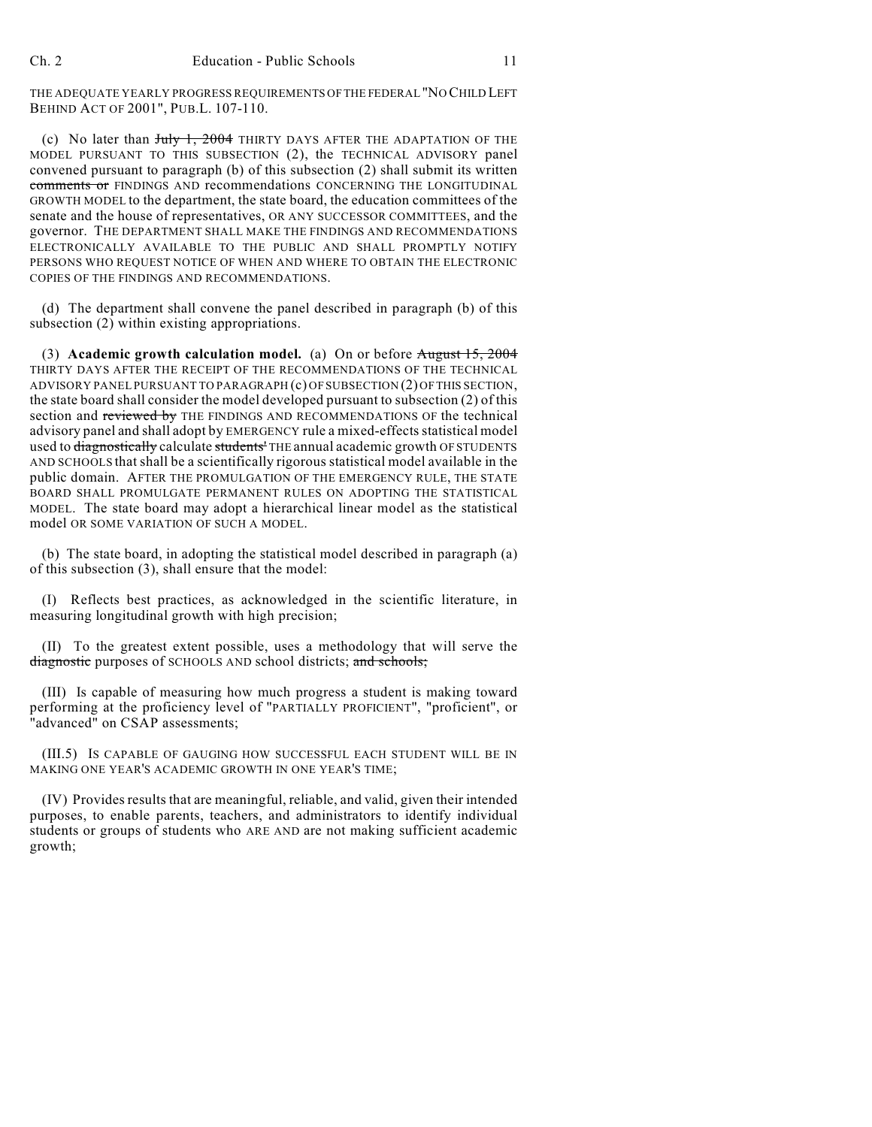THE ADEQUATE YEARLY PROGRESS REQUIREMENTS OF THE FEDERAL "NO CHILD LEFT BEHIND ACT OF 2001", PUB.L. 107-110.

(c) No later than July 1, 2004 THIRTY DAYS AFTER THE ADAPTATION OF THE MODEL PURSUANT TO THIS SUBSECTION (2), the TECHNICAL ADVISORY panel convened pursuant to paragraph (b) of this subsection (2) shall submit its written comments or FINDINGS AND recommendations CONCERNING THE LONGITUDINAL GROWTH MODEL to the department, the state board, the education committees of the senate and the house of representatives, OR ANY SUCCESSOR COMMITTEES, and the governor. THE DEPARTMENT SHALL MAKE THE FINDINGS AND RECOMMENDATIONS ELECTRONICALLY AVAILABLE TO THE PUBLIC AND SHALL PROMPTLY NOTIFY PERSONS WHO REQUEST NOTICE OF WHEN AND WHERE TO OBTAIN THE ELECTRONIC COPIES OF THE FINDINGS AND RECOMMENDATIONS.

(d) The department shall convene the panel described in paragraph (b) of this subsection (2) within existing appropriations.

(3) **Academic growth calculation model.** (a) On or before August 15, 2004 THIRTY DAYS AFTER THE RECEIPT OF THE RECOMMENDATIONS OF THE TECHNICAL ADVISORY PANEL PURSUANT TO PARAGRAPH (c) OF SUBSECTION (2) OF THIS SECTION, the state board shall consider the model developed pursuant to subsection (2) of this section and reviewed by THE FINDINGS AND RECOMMENDATIONS OF the technical advisory panel and shall adopt by EMERGENCY rule a mixed-effects statistical model used to diagnostically calculate students<sup>1</sup> THE annual academic growth OF STUDENTS AND SCHOOLS that shall be a scientifically rigorous statistical model available in the public domain. AFTER THE PROMULGATION OF THE EMERGENCY RULE, THE STATE BOARD SHALL PROMULGATE PERMANENT RULES ON ADOPTING THE STATISTICAL MODEL. The state board may adopt a hierarchical linear model as the statistical model OR SOME VARIATION OF SUCH A MODEL.

(b) The state board, in adopting the statistical model described in paragraph (a) of this subsection (3), shall ensure that the model:

(I) Reflects best practices, as acknowledged in the scientific literature, in measuring longitudinal growth with high precision;

(II) To the greatest extent possible, uses a methodology that will serve the diagnostic purposes of SCHOOLS AND school districts; and schools;

(III) Is capable of measuring how much progress a student is making toward performing at the proficiency level of "PARTIALLY PROFICIENT", "proficient", or "advanced" on CSAP assessments;

(III.5) IS CAPABLE OF GAUGING HOW SUCCESSFUL EACH STUDENT WILL BE IN MAKING ONE YEAR'S ACADEMIC GROWTH IN ONE YEAR'S TIME;

(IV) Providesresults that are meaningful, reliable, and valid, given their intended purposes, to enable parents, teachers, and administrators to identify individual students or groups of students who ARE AND are not making sufficient academic growth;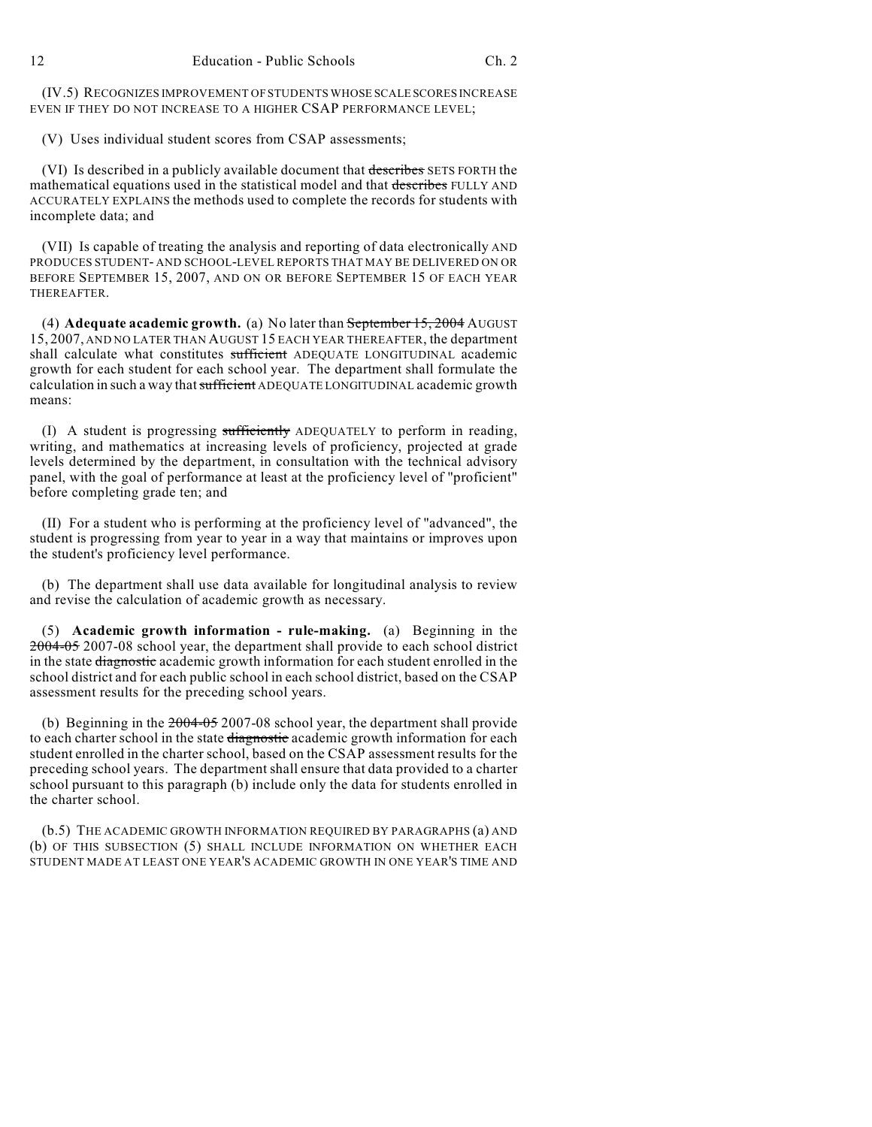(IV.5) RECOGNIZES IMPROVEMENT OF STUDENTS WHOSE SCALE SCORES INCREASE EVEN IF THEY DO NOT INCREASE TO A HIGHER CSAP PERFORMANCE LEVEL;

(V) Uses individual student scores from CSAP assessments;

(VI) Is described in a publicly available document that describes SETS FORTH the mathematical equations used in the statistical model and that describes FULLY AND ACCURATELY EXPLAINS the methods used to complete the records for students with incomplete data; and

(VII) Is capable of treating the analysis and reporting of data electronically AND PRODUCES STUDENT- AND SCHOOL-LEVEL REPORTS THAT MAY BE DELIVERED ON OR BEFORE SEPTEMBER 15, 2007, AND ON OR BEFORE SEPTEMBER 15 OF EACH YEAR THEREAFTER.

(4) **Adequate academic growth.** (a) No later than September 15, 2004 AUGUST 15, 2007, AND NO LATER THAN AUGUST 15 EACH YEAR THEREAFTER, the department shall calculate what constitutes sufficient ADEQUATE LONGITUDINAL academic growth for each student for each school year. The department shall formulate the calculation in such a way that sufficient ADEQUATE LONGITUDINAL academic growth means:

(I) A student is progressing sufficiently ADEQUATELY to perform in reading, writing, and mathematics at increasing levels of proficiency, projected at grade levels determined by the department, in consultation with the technical advisory panel, with the goal of performance at least at the proficiency level of "proficient" before completing grade ten; and

(II) For a student who is performing at the proficiency level of "advanced", the student is progressing from year to year in a way that maintains or improves upon the student's proficiency level performance.

(b) The department shall use data available for longitudinal analysis to review and revise the calculation of academic growth as necessary.

(5) **Academic growth information - rule-making.** (a) Beginning in the 2004-05 2007-08 school year, the department shall provide to each school district in the state diagnostic academic growth information for each student enrolled in the school district and for each public school in each school district, based on the CSAP assessment results for the preceding school years.

(b) Beginning in the 2004-05 2007-08 school year, the department shall provide to each charter school in the state diagnostic academic growth information for each student enrolled in the charter school, based on the CSAP assessment results for the preceding school years. The department shall ensure that data provided to a charter school pursuant to this paragraph (b) include only the data for students enrolled in the charter school.

(b.5) THE ACADEMIC GROWTH INFORMATION REQUIRED BY PARAGRAPHS (a) AND (b) OF THIS SUBSECTION (5) SHALL INCLUDE INFORMATION ON WHETHER EACH STUDENT MADE AT LEAST ONE YEAR'S ACADEMIC GROWTH IN ONE YEAR'S TIME AND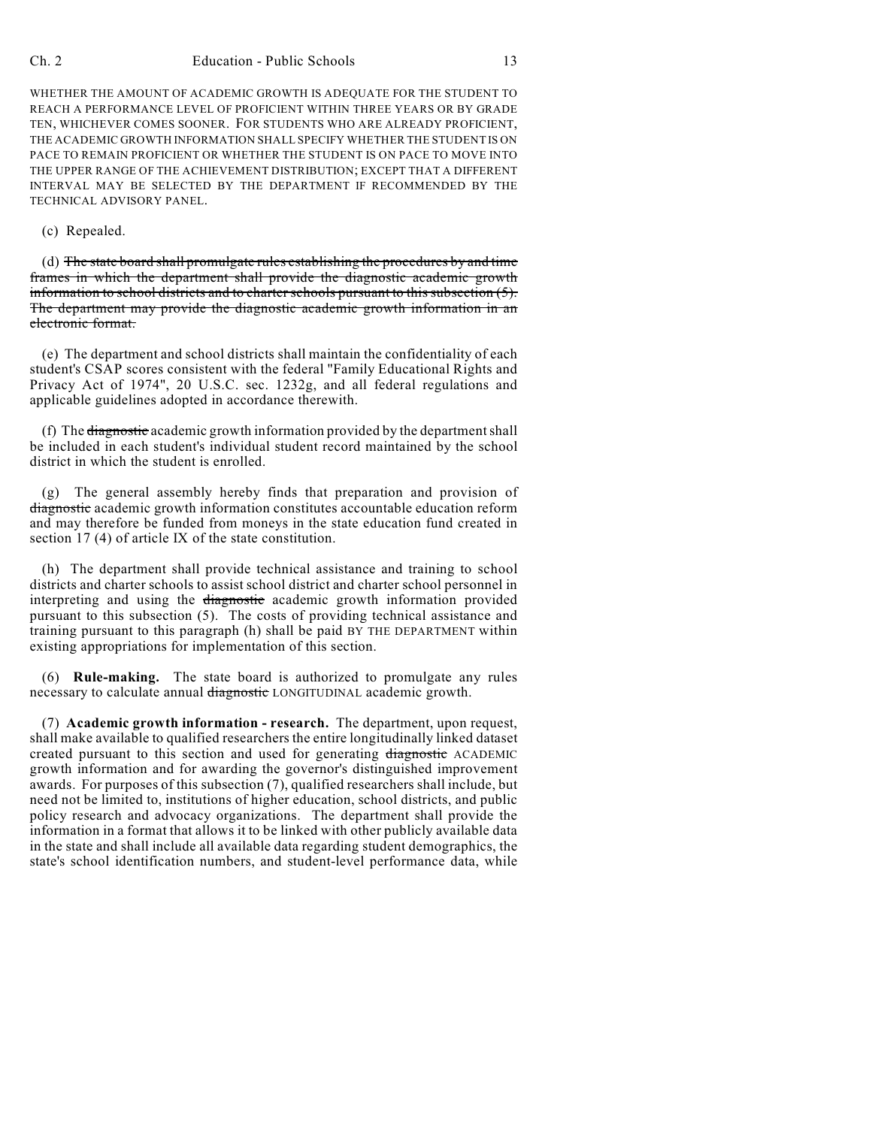WHETHER THE AMOUNT OF ACADEMIC GROWTH IS ADEQUATE FOR THE STUDENT TO REACH A PERFORMANCE LEVEL OF PROFICIENT WITHIN THREE YEARS OR BY GRADE TEN, WHICHEVER COMES SOONER. FOR STUDENTS WHO ARE ALREADY PROFICIENT, THE ACADEMIC GROWTH INFORMATION SHALL SPECIFY WHETHER THE STUDENT IS ON PACE TO REMAIN PROFICIENT OR WHETHER THE STUDENT IS ON PACE TO MOVE INTO THE UPPER RANGE OF THE ACHIEVEMENT DISTRIBUTION; EXCEPT THAT A DIFFERENT INTERVAL MAY BE SELECTED BY THE DEPARTMENT IF RECOMMENDED BY THE TECHNICAL ADVISORY PANEL.

## (c) Repealed.

(d) The state board shall promulgate rules establishing the procedures by and time frames in which the department shall provide the diagnostic academic growth information to school districts and to charter schools pursuant to this subsection  $(5)$ . The department may provide the diagnostic academic growth information in an electronic format.

(e) The department and school districts shall maintain the confidentiality of each student's CSAP scores consistent with the federal "Family Educational Rights and Privacy Act of 1974", 20 U.S.C. sec. 1232g, and all federal regulations and applicable guidelines adopted in accordance therewith.

(f) The diagnostic academic growth information provided by the department shall be included in each student's individual student record maintained by the school district in which the student is enrolled.

(g) The general assembly hereby finds that preparation and provision of diagnostic academic growth information constitutes accountable education reform and may therefore be funded from moneys in the state education fund created in section 17 (4) of article IX of the state constitution.

(h) The department shall provide technical assistance and training to school districts and charter schools to assist school district and charter school personnel in interpreting and using the diagnostic academic growth information provided pursuant to this subsection (5). The costs of providing technical assistance and training pursuant to this paragraph (h) shall be paid BY THE DEPARTMENT within existing appropriations for implementation of this section.

(6) **Rule-making.** The state board is authorized to promulgate any rules necessary to calculate annual diagnostic LONGITUDINAL academic growth.

(7) **Academic growth information - research.** The department, upon request, shall make available to qualified researchers the entire longitudinally linked dataset created pursuant to this section and used for generating diagnostic ACADEMIC growth information and for awarding the governor's distinguished improvement awards. For purposes of this subsection (7), qualified researchers shall include, but need not be limited to, institutions of higher education, school districts, and public policy research and advocacy organizations. The department shall provide the information in a format that allows it to be linked with other publicly available data in the state and shall include all available data regarding student demographics, the state's school identification numbers, and student-level performance data, while